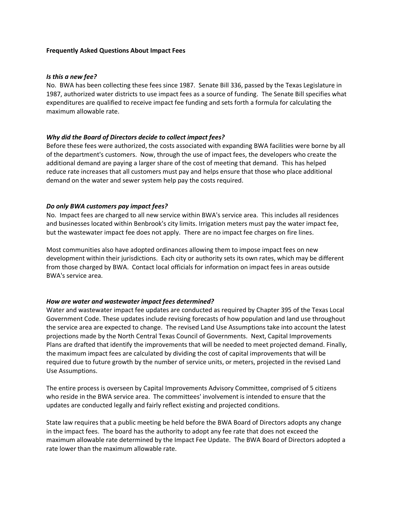### **Frequently Asked Questions About Impact Fees**

#### *Is this a new fee?*

No. BWA has been collecting these fees since 1987. Senate Bill 336, passed by the Texas Legislature in 1987, authorized water districts to use impact fees as a source of funding. The Senate Bill specifies what expenditures are qualified to receive impact fee funding and sets forth a formula for calculating the maximum allowable rate.

### *Why did the Board of Directors decide to collect impact fees?*

Before these fees were authorized, the costs associated with expanding BWA facilities were borne by all of the department's customers. Now, through the use of impact fees, the developers who create the additional demand are paying a larger share of the cost of meeting that demand. This has helped reduce rate increases that all customers must pay and helps ensure that those who place additional demand on the water and sewer system help pay the costs required.

### *Do only BWA customers pay impact fees?*

No. Impact fees are charged to all new service within BWA's service area. This includes all residences and businesses located within Benbrook's city limits. Irrigation meters must pay the water impact fee, but the wastewater impact fee does not apply. There are no impact fee charges on fire lines.

Most communities also have adopted ordinances allowing them to impose impact fees on new development within their jurisdictions. Each city or authority sets its own rates, which may be different from those charged by BWA. Contact local officials for information on impact fees in areas outside BWA's service area.

# *How are water and wastewater impact fees determined?*

Water and wastewater impact fee updates are conducted as required by Chapter 395 of the Texas Local Government Code. These updates include revising forecasts of how population and land use throughout the service area are expected to change. The revised Land Use Assumptions take into account the latest projections made by the North Central Texas Council of Governments. Next, Capital Improvements Plans are drafted that identify the improvements that will be needed to meet projected demand. Finally, the maximum impact fees are calculated by dividing the cost of capital improvements that will be required due to future growth by the number of service units, or meters, projected in the revised Land Use Assumptions.

The entire process is overseen by Capital Improvements Advisory Committee, comprised of 5 citizens who reside in the BWA service area. The committees' involvement is intended to ensure that the updates are conducted legally and fairly reflect existing and projected conditions.

State law requires that a public meeting be held before the BWA Board of Directors adopts any change in the impact fees. The board has the authority to adopt any fee rate that does not exceed the maximum allowable rate determined by the Impact Fee Update. The BWA Board of Directors adopted a rate lower than the maximum allowable rate.